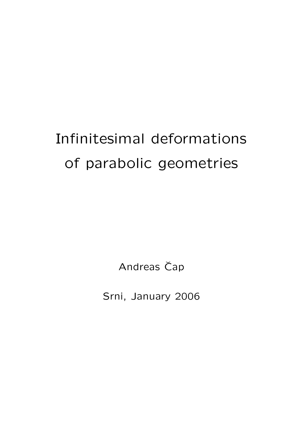# Infinitesimal deformations of parabolic geometries

Andreas Čap

Srni, January 2006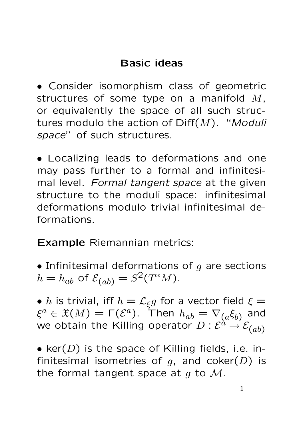# Basic ideas

• Consider isomorphism class of geometric structures of some type on a manifold M, or equivalently the space of all such structures modulo the action of  $\text{Diff}(M)$ . "Moduli space" of such structures.

• Localizing leads to deformations and one may pass further to a formal and infinitesimal level. Formal tangent space at the given structure to the moduli space: infinitesimal deformations modulo trivial infinitesimal deformations.

Example Riemannian metrics:

• Infinitesimal deformations of  $g$  are sections  $h = h_{ab}$  of  $\mathcal{E}_{(ab)} = S^2(T^*M)$ .

•  $h$  is trivial, iff  $h = \mathcal{L}_{\xi}g$  for a vector field  $\xi =$  $\xi^a\in \mathfrak{X}(M)=\mathsf{\Gamma}(\mathcal{E}^a).$  Then  $h_{ab}=\nabla_{(a}\xi_{b)}$  and we obtain the Killing operator  $D: \mathcal{E}^{\hat{a} \rightarrow \mathcal{E}}(\overline{a} b)$ 

• ker( $D$ ) is the space of Killing fields, i.e. infinitesimal isometries of  $g$ , and coker( $D$ ) is the formal tangent space at  $q$  to  $\mathcal{M}$ .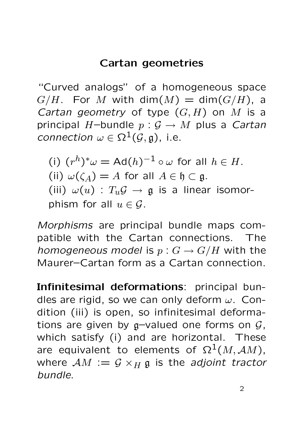### Cartan geometries

"Curved analogs" of a homogeneous space  $G/H$ . For M with dim $(M) = dim(G/H)$ , a Cartan geometry of type  $(G, H)$  on M is a principal H-bundle  $p: \mathcal{G} \to M$  plus a Cartan connection  $\omega \in \Omega^1(\mathcal{G}, \mathfrak{g})$ , i.e.

(i)  $(r^h)^*\omega = \mathsf{Ad}(h)^{-1} \circ \omega$  for all  $h \in H$ . (ii)  $\omega(\zeta_A) = A$  for all  $A \in \mathfrak{h} \subset \mathfrak{g}$ . (iii)  $\omega(u)$  :  $T_u \mathcal{G} \rightarrow \mathfrak{g}$  is a linear isomorphism for all  $u \in \mathcal{G}$ .

Morphisms are principal bundle maps compatible with the Cartan connections. The homogeneous model is  $p: G \to G/H$  with the Maurer–Cartan form as a Cartan connection.

Infinitesimal deformations: principal bundles are rigid, so we can only deform  $\omega$ . Condition (iii) is open, so infinitesimal deformations are given by  $g$ -valued one forms on  $G$ , which satisfy (i) and are horizontal. These are equivalent to elements of  $\Omega^1(M, \mathcal{A}M)$ , where  $AM := G \times_H g$  is the adjoint tractor bundle.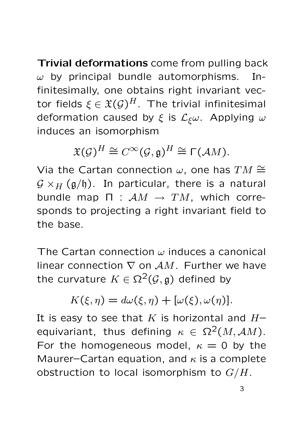Trivial deformations come from pulling back  $\omega$  by principal bundle automorphisms. Infinitesimally, one obtains right invariant vector fields  $\xi \in \mathfrak{X}(\mathcal{G})^H$ . The trivial infinitesimal deformation caused by  $\xi$  is  $\mathcal{L}_{\xi}\omega$ . Applying  $\omega$ induces an isomorphism

$$
\mathfrak{X}(\mathcal{G})^H \cong C^{\infty}(\mathcal{G}, \mathfrak{g})^H \cong \Gamma(\mathcal{A}M).
$$

Via the Cartan connection  $\omega$ , one has  $TM \cong \mathbb{R}^2$  $G \times_H (g/h)$ . In particular, there is a natural bundle map  $\Pi$  :  $\mathcal{A}M \rightarrow TM$ , which corresponds to projecting a right invariant field to the base.

The Cartan connection  $\omega$  induces a canonical linear connection  $\nabla$  on  $AM$ . Further we have the curvature  $K \in \Omega^2(\mathcal{G}, \mathfrak{g})$  defined by

$$
K(\xi, \eta) = d\omega(\xi, \eta) + [\omega(\xi), \omega(\eta)].
$$

It is easy to see that  $K$  is horizontal and  $H$ equivariant, thus defining  $\kappa \in \Omega^2(M, \mathcal{A}M)$ . For the homogeneous model,  $\kappa = 0$  by the Maurer–Cartan equation, and  $\kappa$  is a complete obstruction to local isomorphism to  $G/H$ .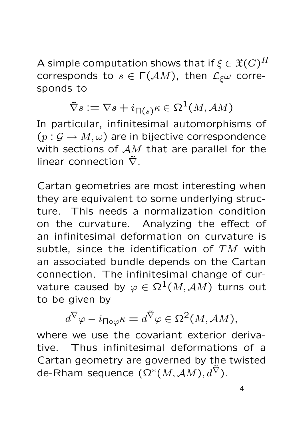A simple computation shows that if  $\xi \in \mathfrak{X}(G)^H$ corresponds to  $s \in \Gamma(\mathcal{A} M)$ , then  $\mathcal{L}_{\xi}\omega$  corresponds to

$$
\tilde{\nabla}s := \nabla s + i_{\Pi(s)}\kappa \in \Omega^1(M, \mathcal{A}M)
$$

In particular, infinitesimal automorphisms of  $(p: \mathcal{G} \to M, \omega)$  are in bijective correspondence with sections of  $AM$  that are parallel for the linear connection  $\tilde{\nabla}$ .

Cartan geometries are most interesting when they are equivalent to some underlying structure. This needs a normalization condition on the curvature. Analyzing the effect of an infinitesimal deformation on curvature is subtle, since the identification of  $TM$  with an associated bundle depends on the Cartan connection. The infinitesimal change of curvature caused by  $\varphi \in \Omega^1(M, \mathcal{A}M)$  turns out to be given by

$$
d^{\nabla}\varphi - i_{\Pi\circ\varphi}\kappa = d^{\tilde{\nabla}}\varphi \in \Omega^2(M, AM),
$$

where we use the covariant exterior derivative. Thus infinitesimal deformations of a Cartan geometry are governed by the twisted de-Rham sequence  $(\Omega^*(M, \mathcal{A}M), d^{\tilde{\nabla}})$ .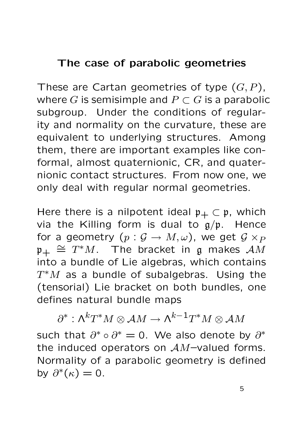# The case of parabolic geometries

These are Cartan geometries of type  $(G, P)$ , where G is semisimple and  $P \subset G$  is a parabolic subgroup. Under the conditions of regularity and normality on the curvature, these are equivalent to underlying structures. Among them, there are important examples like conformal, almost quaternionic, CR, and quaternionic contact structures. From now one, we only deal with regular normal geometries.

Here there is a nilpotent ideal  $\mathfrak{p}_+ \subset \mathfrak{p}$ , which via the Killing form is dual to  $g/p$ . Hence for a geometry  $(p: \mathcal{G} \to M, \omega)$ , we get  $\mathcal{G} \times_{P}$  $\mathfrak{p}_+ \cong \mathfrak{T}^*M$ . The bracket in g makes  $AM$ into a bundle of Lie algebras, which contains  $T^*M$  as a bundle of subalgebras. Using the (tensorial) Lie bracket on both bundles, one defines natural bundle maps

 $\partial^*:\textsf{\Lambda}^kT^*M\otimes\mathcal AM\to \textsf{\Lambda}^{k-1}T^*M\otimes\mathcal AM$ such that  $\partial^* \circ \partial^* = 0$ . We also denote by  $\partial^*$ the induced operators on  $AM$ -valued forms. Normality of a parabolic geometry is defined by  $\partial^*(\kappa) = 0$ .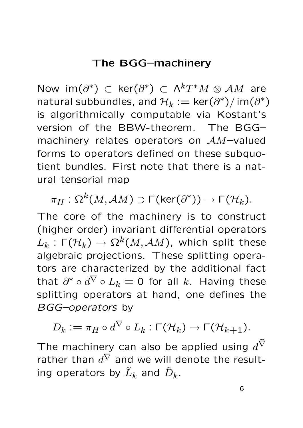#### The BGG–machinery

Now  $\mathsf{im}(\partial^*) \subset \mathsf{ker}(\partial^*) \subset \Lambda^kT^*M \otimes \mathcal AM$  are natural subbundles, and  $\mathcal{H}_k:=\mathsf{ker}(\partial^*)/\mathsf{im}(\partial^*)$ is algorithmically computable via Kostant's version of the BBW-theorem. The BGG– machinery relates operators on AM–valued forms to operators defined on these subquotient bundles. First note that there is a natural tensorial map

 $\pi_H: \Omega^k(M,\mathcal AM) \supset \mathsf{\Gamma}({\mathsf{Ker}}(\partial^*)) \to \mathsf{\Gamma}(\mathcal H_k).$ 

The core of the machinery is to construct (higher order) invariant differential operators  $L_k$  : Γ $(\mathcal{H}_k) \rightarrow \Omega^k(M,\mathcal{A}M)$ , which split these algebraic projections. These splitting operators are characterized by the additional fact that  $\partial^* \circ d^\nabla \circ L_k = 0$  for all  $k.$  Having these splitting operators at hand, one defines the BGG–operators by

$$
D_k := \pi_H \circ d^{\nabla} \circ L_k : \Gamma(\mathcal{H}_k) \to \Gamma(\mathcal{H}_{k+1}).
$$

The machinery can also be applied using  $d^{\tilde{\nabla}}$ rather than  $d^{\nabla}$  and we will denote the resulting operators by  $\tilde{L}_k$  and  $\tilde{D}_k.$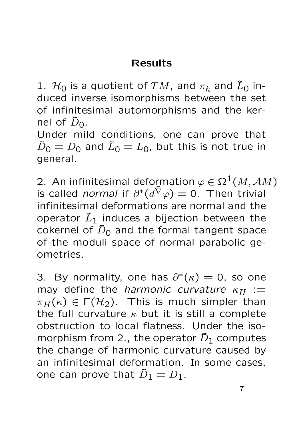### Results

1.  $\mathcal{H}_0$  is a quotient of  $TM$ , and  $\pi_h$  and  $\tilde{L}_0$  induced inverse isomorphisms between the set of infinitesimal automorphisms and the kernel of  $\tilde{D}_0$ .

Under mild conditions, one can prove that  $\tilde{D}_0 = D_0$  and  $\tilde{L}_0 = L_0$ , but this is not true in general.

2. An infinitesimal deformation  $\varphi \in \Omega^1(M, \mathcal AM)$ is called *normal* if  $\partial^*(d^{\tilde{\nabla}} \varphi) = 0$ . Then trivial infinitesimal deformations are normal and the operator  $\tilde{L}_1$  induces a bijection between the cokernel of  $\tilde{D}_0$  and the formal tangent space of the moduli space of normal parabolic geometries.

3. By normality, one has  $\partial^*(\kappa) = 0$ , so one may define the harmonic curvature  $\kappa_H$  :=  $\pi_H(\kappa) \in \Gamma(H_2)$ . This is much simpler than the full curvature  $\kappa$  but it is still a complete obstruction to local flatness. Under the isomorphism from 2., the operator  $\tilde{D}_1$  computes the change of harmonic curvature caused by an infinitesimal deformation. In some cases, one can prove that  $\tilde{D}_1 = D_1$ .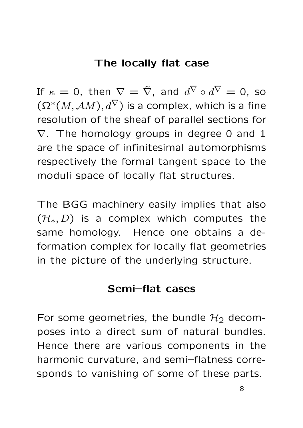#### The locally flat case

If  $\kappa = 0$ , then  $\nabla = \tilde{\nabla}$ , and  $d^{\nabla} \circ d^{\nabla} = 0$ , so  $(\Omega^*(M, \mathcal{A}M), d^{\nabla})$  is a complex, which is a fine resolution of the sheaf of parallel sections for  $\nabla$ . The homology groups in degree 0 and 1 are the space of infinitesimal automorphisms respectively the formal tangent space to the moduli space of locally flat structures.

The BGG machinery easily implies that also  $(\mathcal{H}_*, D)$  is a complex which computes the same homology. Hence one obtains a deformation complex for locally flat geometries in the picture of the underlying structure.

#### Semi–flat cases

For some geometries, the bundle  $H_2$  decomposes into a direct sum of natural bundles. Hence there are various components in the harmonic curvature, and semi–flatness corresponds to vanishing of some of these parts.